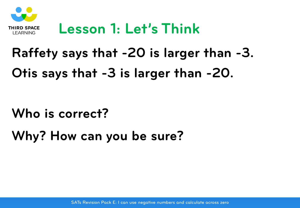

## **Lesson 1: Let's Think**

### **Raffety says that -20 is larger than -3.**

## **Otis says that -3 is larger than -20.**

#### **Who is correct?**

## **Why? How can you be sure?**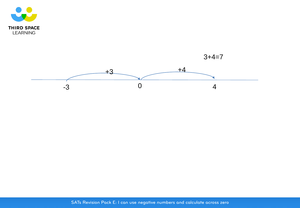

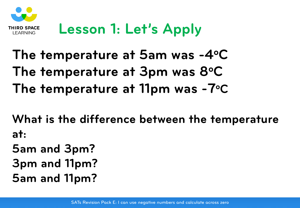

# **Lesson 1: Let's Apply**

# **The temperature at 5am was -4oC** The temperature at 3pm was 8°C **The temperature at 11pm was -7oC**

**What is the difference between the temperature at:**

- **5am and 3pm?**
- **3pm and 11pm?**
- **5am and 11pm?**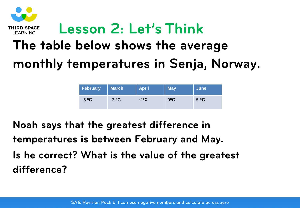

## **The table below shows the average monthly temperatures in Senja, Norway.**

| <b>February</b> | <b>March</b> | <b>April</b> | <b>May</b> | June          |
|-----------------|--------------|--------------|------------|---------------|
| $-5$ °C         | $-3$ °C      | $-4$ °C      | )°C        | $5^{\circ}$ C |

**Noah says that the greatest difference in temperatures is between February and May. Is he correct? What is the value of the greatest difference?**